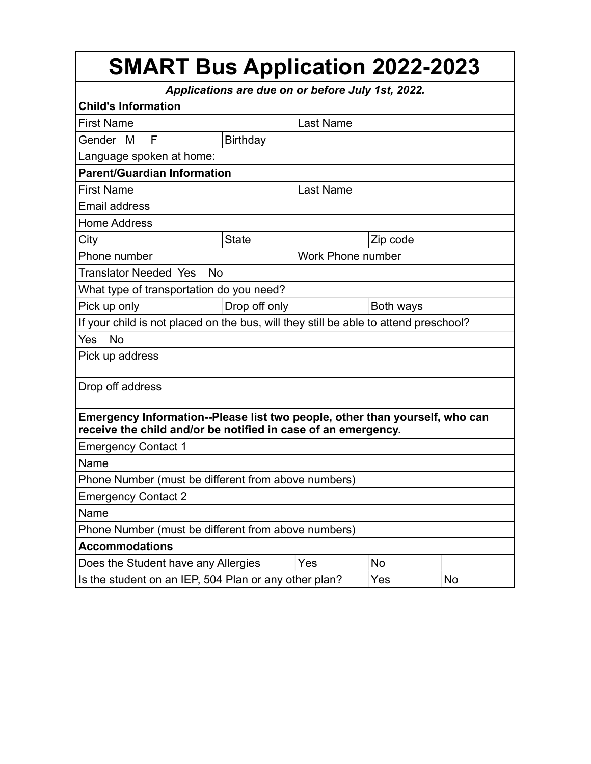| <b>SMART Bus Application 2022-2023</b>                                                                                                       |                   |                  |           |  |  |  |
|----------------------------------------------------------------------------------------------------------------------------------------------|-------------------|------------------|-----------|--|--|--|
| Applications are due on or before July 1st, 2022.                                                                                            |                   |                  |           |  |  |  |
| <b>Child's Information</b>                                                                                                                   |                   |                  |           |  |  |  |
| <b>First Name</b>                                                                                                                            |                   | <b>Last Name</b> |           |  |  |  |
| F<br>Gender<br>M                                                                                                                             | Birthday          |                  |           |  |  |  |
| Language spoken at home:                                                                                                                     |                   |                  |           |  |  |  |
| <b>Parent/Guardian Information</b>                                                                                                           |                   |                  |           |  |  |  |
| <b>First Name</b>                                                                                                                            |                   | <b>Last Name</b> |           |  |  |  |
| <b>Email address</b>                                                                                                                         |                   |                  |           |  |  |  |
| <b>Home Address</b>                                                                                                                          |                   |                  |           |  |  |  |
| City                                                                                                                                         | <b>State</b>      |                  | Zip code  |  |  |  |
| Phone number                                                                                                                                 | Work Phone number |                  |           |  |  |  |
| <b>Translator Needed Yes</b><br>No                                                                                                           |                   |                  |           |  |  |  |
| What type of transportation do you need?                                                                                                     |                   |                  |           |  |  |  |
| Pick up only                                                                                                                                 | Drop off only     |                  | Both ways |  |  |  |
| If your child is not placed on the bus, will they still be able to attend preschool?                                                         |                   |                  |           |  |  |  |
| <b>No</b><br>Yes                                                                                                                             |                   |                  |           |  |  |  |
| Pick up address                                                                                                                              |                   |                  |           |  |  |  |
| Drop off address                                                                                                                             |                   |                  |           |  |  |  |
| Emergency Information--Please list two people, other than yourself, who can<br>receive the child and/or be notified in case of an emergency. |                   |                  |           |  |  |  |
| <b>Emergency Contact 1</b>                                                                                                                   |                   |                  |           |  |  |  |
| Name                                                                                                                                         |                   |                  |           |  |  |  |
| Phone Number (must be different from above numbers)                                                                                          |                   |                  |           |  |  |  |
| <b>Emergency Contact 2</b>                                                                                                                   |                   |                  |           |  |  |  |
| Name                                                                                                                                         |                   |                  |           |  |  |  |
| Phone Number (must be different from above numbers)                                                                                          |                   |                  |           |  |  |  |
| <b>Accommodations</b>                                                                                                                        |                   |                  |           |  |  |  |
| Does the Student have any Allergies                                                                                                          |                   | Yes              | <b>No</b> |  |  |  |
| Is the student on an IEP, 504 Plan or any other plan?<br>Yes<br><b>No</b>                                                                    |                   |                  |           |  |  |  |